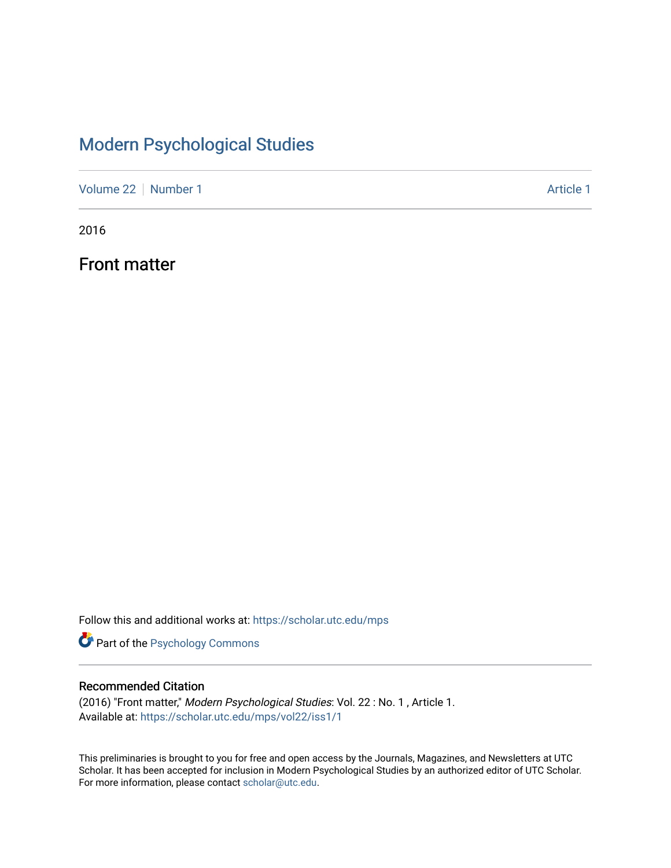### [Modern Psychological Studies](https://scholar.utc.edu/mps)

[Volume 22](https://scholar.utc.edu/mps/vol22) [Number 1](https://scholar.utc.edu/mps/vol22/iss1) Article 1

2016

Front matter

Follow this and additional works at: [https://scholar.utc.edu/mps](https://scholar.utc.edu/mps?utm_source=scholar.utc.edu%2Fmps%2Fvol22%2Fiss1%2F1&utm_medium=PDF&utm_campaign=PDFCoverPages) 

**Part of the Psychology Commons** 

#### Recommended Citation

(2016) "Front matter," Modern Psychological Studies: Vol. 22 : No. 1 , Article 1. Available at: [https://scholar.utc.edu/mps/vol22/iss1/1](https://scholar.utc.edu/mps/vol22/iss1/1?utm_source=scholar.utc.edu%2Fmps%2Fvol22%2Fiss1%2F1&utm_medium=PDF&utm_campaign=PDFCoverPages) 

This preliminaries is brought to you for free and open access by the Journals, Magazines, and Newsletters at UTC Scholar. It has been accepted for inclusion in Modern Psychological Studies by an authorized editor of UTC Scholar. For more information, please contact [scholar@utc.edu](mailto:scholar@utc.edu).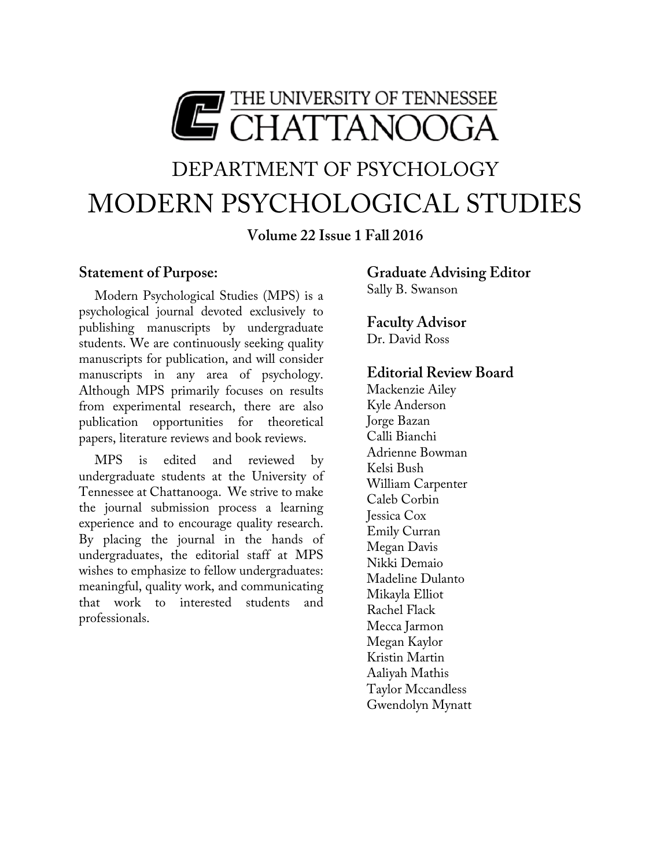

# DEPARTMENT OF PSYCHOLOGY MODERN PSYCHOLOGICAL STUDIES

**Volume 22 Issue 1 Fall 2016**

#### **Statement of Purpose:**

Modern Psychological Studies (MPS) is a psychological journal devoted exclusively to publishing manuscripts by undergraduate students. We are continuously seeking quality manuscripts for publication, and will consider manuscripts in any area of psychology. Although MPS primarily focuses on results from experimental research, there are also publication opportunities for theoretical papers, literature reviews and book reviews.

MPS is edited and reviewed by undergraduate students at the University of Tennessee at Chattanooga. We strive to make the journal submission process a learning experience and to encourage quality research. By placing the journal in the hands of undergraduates, the editorial staff at MPS wishes to emphasize to fellow undergraduates: meaningful, quality work, and communicating that work to interested students and professionals.

#### **Graduate Advising Editor** Sally B. Swanson

#### **Faculty Advisor**

Dr. David Ross

#### **Editorial Review Board**

Mackenzie Ailey Kyle Anderson Jorge Bazan Calli Bianchi Adrienne Bowman Kelsi Bush William Carpenter Caleb Corbin Jessica Cox Emily Curran Megan Davis Nikki Demaio Madeline Dulanto Mikayla Elliot Rachel Flack Mecca Jarmon Megan Kaylor Kristin Martin Aaliyah Mathis Taylor Mccandless Gwendolyn Mynatt